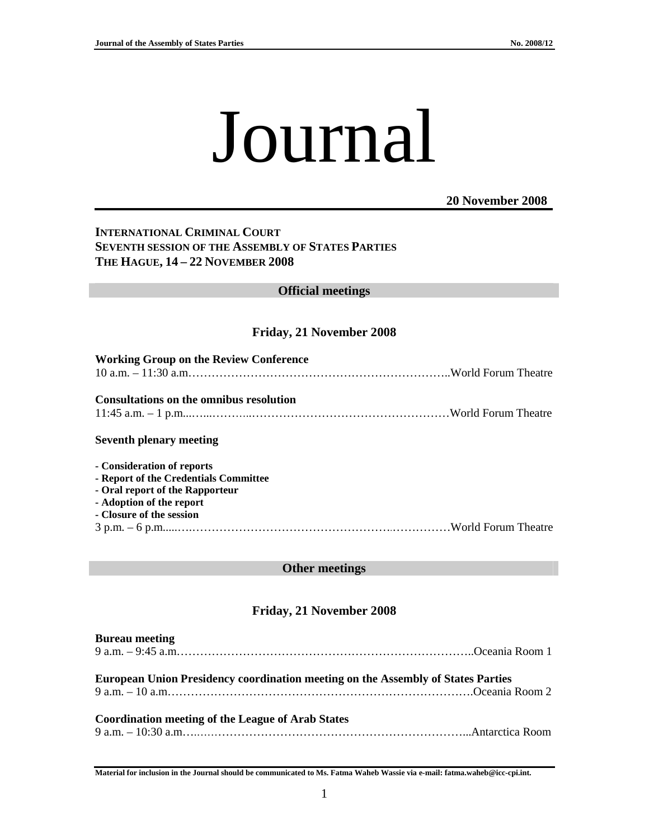# Journal

#### **20 November 2008**

## **INTERNATIONAL CRIMINAL COURT SEVENTH SESSION OF THE ASSEMBLY OF STATES PARTIES THE HAGUE, 14 – 22 NOVEMBER 2008**

### **Official meetings**

### **Friday, 21 November 2008**

| <b>Working Group on the Review Conference</b>  |  |
|------------------------------------------------|--|
|                                                |  |
|                                                |  |
| <b>Consultations on the omnibus resolution</b> |  |
|                                                |  |
| <b>Seventh plenary meeting</b>                 |  |
| - Consideration of reports                     |  |
| - Report of the Credentials Committee          |  |
| - Oral report of the Rapporteur                |  |
| - Adoption of the report                       |  |
| - Closure of the session                       |  |
|                                                |  |
|                                                |  |

#### **Other meetings**

# **Friday, 21 November 2008**

| <b>Bureau meeting</b>                                                                   |  |
|-----------------------------------------------------------------------------------------|--|
| <b>European Union Presidency coordination meeting on the Assembly of States Parties</b> |  |
| <b>Coordination meeting of the League of Arab States</b>                                |  |

**Material for inclusion in the Journal should be communicated to Ms. Fatma Waheb Wassie via e-mail: fatma.waheb@icc-cpi.int.**